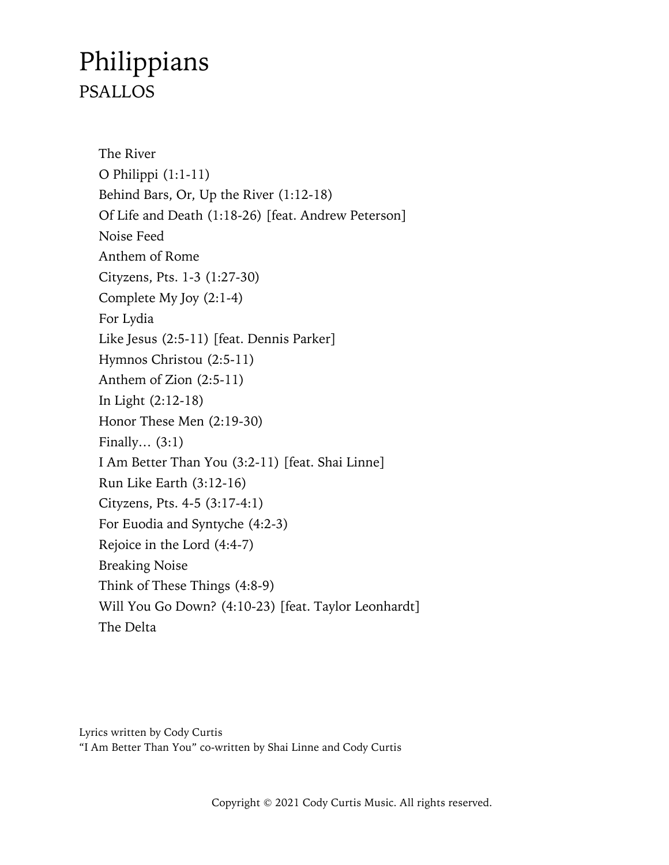# Philippians PSALLOS

The River O Philippi (1:1-11) Behind Bars, Or, Up the River (1:12-18) Of Life and Death (1:18-26) [feat. Andrew Peterson] Noise Feed Anthem of Rome Cityzens, Pts. 1-3 (1:27-30) Complete My Joy (2:1-4) For Lydia Like Jesus (2:5-11) [feat. Dennis Parker] Hymnos Christou (2:5-11) Anthem of Zion (2:5-11) In Light (2:12-18) Honor These Men (2:19-30) Finally… (3:1) I Am Better Than You (3:2-11) [feat. Shai Linne] Run Like Earth (3:12-16) Cityzens, Pts. 4-5 (3:17-4:1) For Euodia and Syntyche (4:2-3) Rejoice in the Lord (4:4-7) Breaking Noise Think of These Things (4:8-9) Will You Go Down? (4:10-23) [feat. Taylor Leonhardt] The Delta

Lyrics written by Cody Curtis "I Am Better Than You" co-written by Shai Linne and Cody Curtis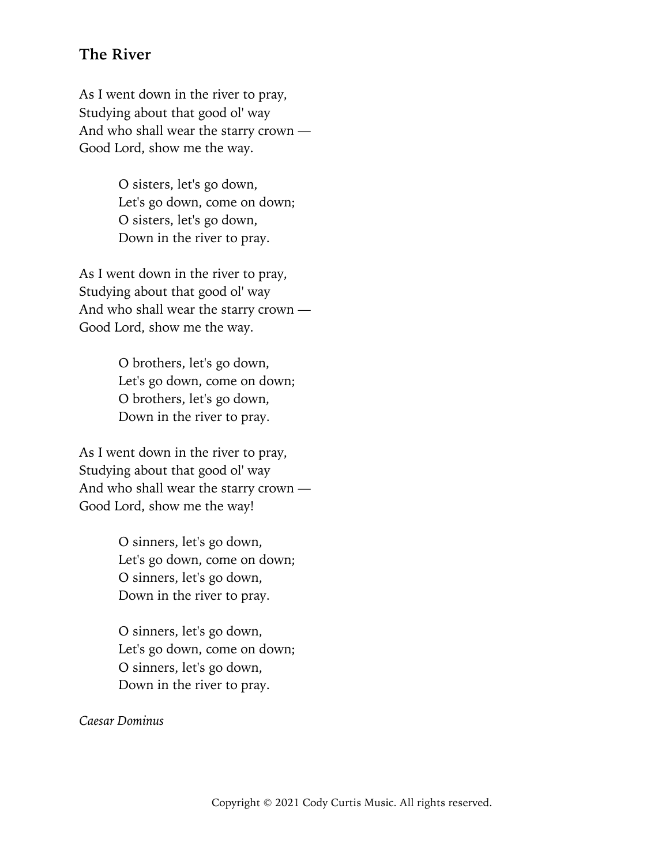#### **The River**

As I went down in the river to pray, Studying about that good ol' way And who shall wear the starry crown — Good Lord, show me the way.

> O sisters, let's go down, Let's go down, come on down; O sisters, let's go down, Down in the river to pray.

As I went down in the river to pray, Studying about that good ol' way And who shall wear the starry crown — Good Lord, show me the way.

> O brothers, let's go down, Let's go down, come on down; O brothers, let's go down, Down in the river to pray.

As I went down in the river to pray, Studying about that good ol' way And who shall wear the starry crown — Good Lord, show me the way!

> O sinners, let's go down, Let's go down, come on down; O sinners, let's go down, Down in the river to pray.

> O sinners, let's go down, Let's go down, come on down; O sinners, let's go down, Down in the river to pray.

*Caesar Dominus*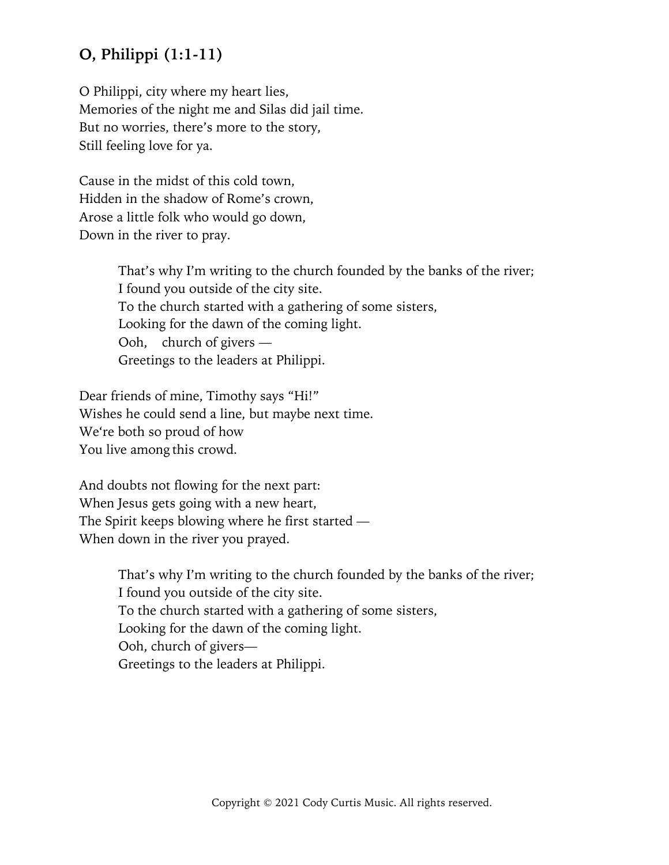# **O, Philippi (1:1-11)**

O Philippi, city where my heart lies, Memories of the night me and Silas did jail time. But no worries, there's more to the story, Still feeling love for ya.

Cause in the midst of this cold town, Hidden in the shadow of Rome's crown, Arose a little folk who would go down, Down in the river to pray.

> That's why I'm writing to the church founded by the banks of the river; I found you outside of the city site. To the church started with a gathering of some sisters, Looking for the dawn of the coming light. Ooh, church of givers — Greetings to the leaders at Philippi.

Dear friends of mine, Timothy says "Hi!" Wishes he could send a line, but maybe next time. We're both so proud of how You live among this crowd.

And doubts not flowing for the next part: When Jesus gets going with a new heart, The Spirit keeps blowing where he first started — When down in the river you prayed.

> That's why I'm writing to the church founded by the banks of the river; I found you outside of the city site. To the church started with a gathering of some sisters, Looking for the dawn of the coming light. Ooh, church of givers— Greetings to the leaders at Philippi.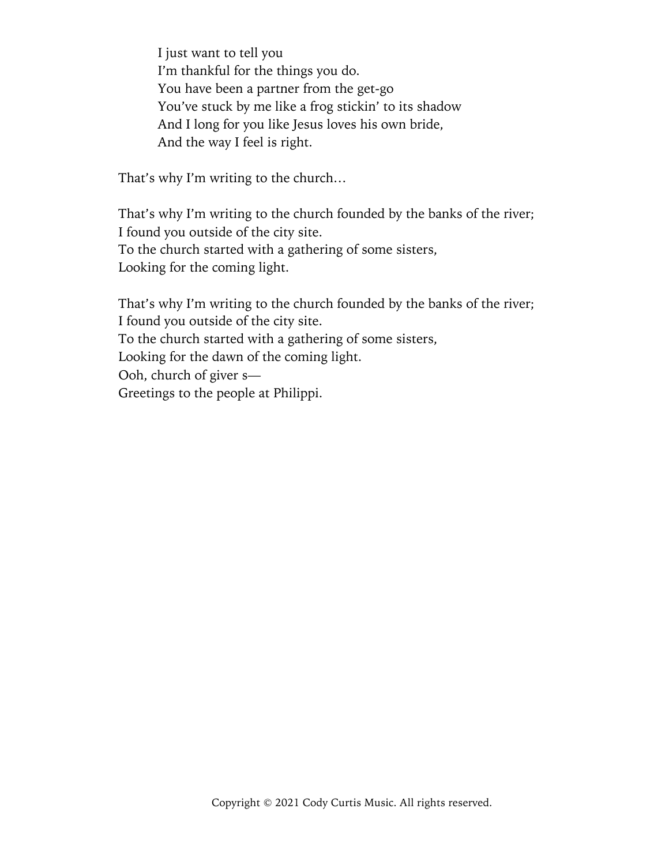I just want to tell you I'm thankful for the things you do. You have been a partner from the get-go You've stuck by me like a frog stickin' to its shadow And I long for you like Jesus loves his own bride, And the way I feel is right.

That's why I'm writing to the church…

That's why I'm writing to the church founded by the banks of the river; I found you outside of the city site. To the church started with a gathering of some sisters, Looking for the coming light.

That's why I'm writing to the church founded by the banks of the river; I found you outside of the city site. To the church started with a gathering of some sisters, Looking for the dawn of the coming light. Ooh, church of giver s— Greetings to the people at Philippi.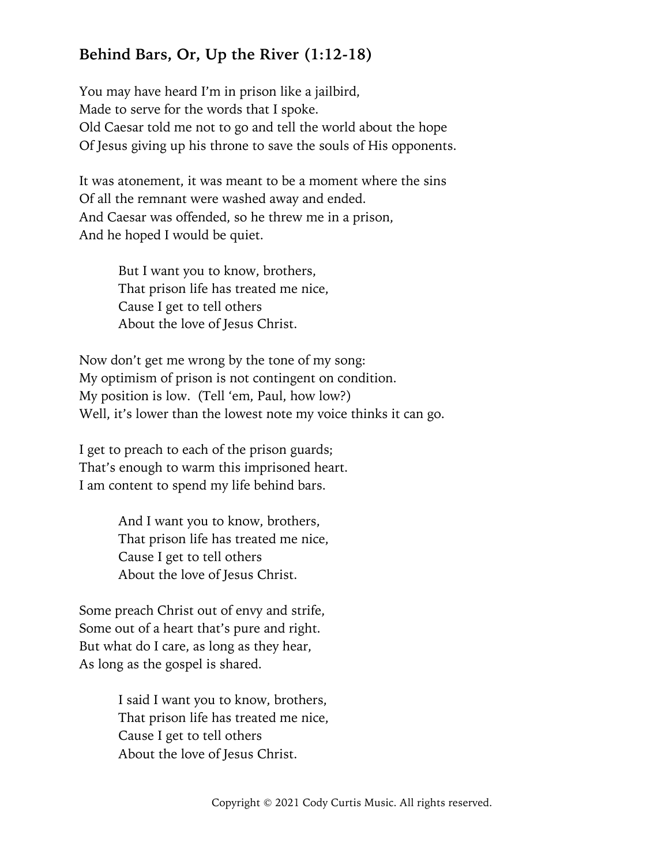# **Behind Bars, Or, Up the River (1:12-18)**

You may have heard I'm in prison like a jailbird, Made to serve for the words that I spoke. Old Caesar told me not to go and tell the world about the hope Of Jesus giving up his throne to save the souls of His opponents.

It was atonement, it was meant to be a moment where the sins Of all the remnant were washed away and ended. And Caesar was offended, so he threw me in a prison, And he hoped I would be quiet.

> But I want you to know, brothers, That prison life has treated me nice, Cause I get to tell others About the love of Jesus Christ.

Now don't get me wrong by the tone of my song: My optimism of prison is not contingent on condition. My position is low. (Tell 'em, Paul, how low?) Well, it's lower than the lowest note my voice thinks it can go.

I get to preach to each of the prison guards; That's enough to warm this imprisoned heart. I am content to spend my life behind bars.

> And I want you to know, brothers, That prison life has treated me nice, Cause I get to tell others About the love of Jesus Christ.

Some preach Christ out of envy and strife, Some out of a heart that's pure and right. But what do I care, as long as they hear, As long as the gospel is shared.

> I said I want you to know, brothers, That prison life has treated me nice, Cause I get to tell others About the love of Jesus Christ.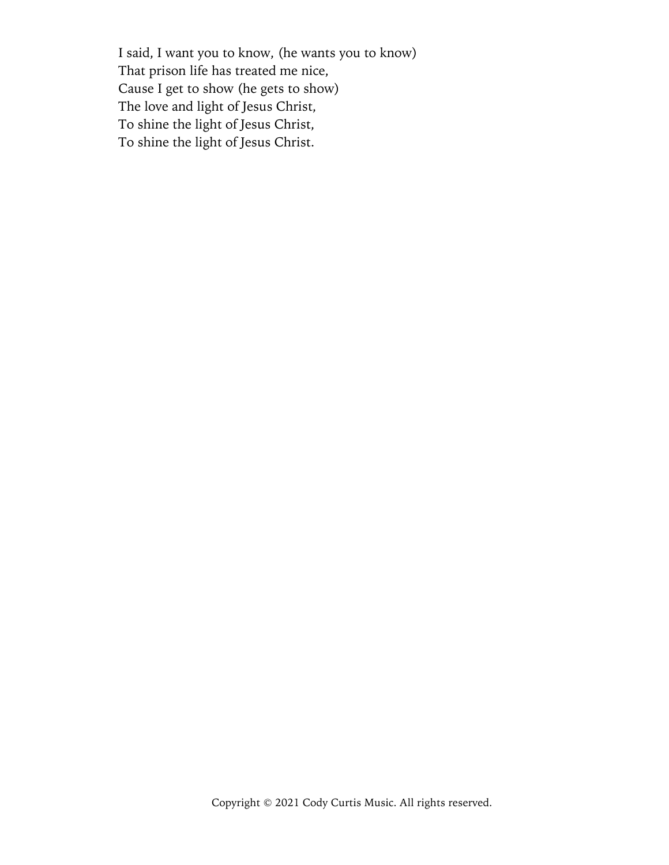I said, I want you to know, (he wants you to know) That prison life has treated me nice, Cause I get to show (he gets to show) The love and light of Jesus Christ, To shine the light of Jesus Christ, To shine the light of Jesus Christ.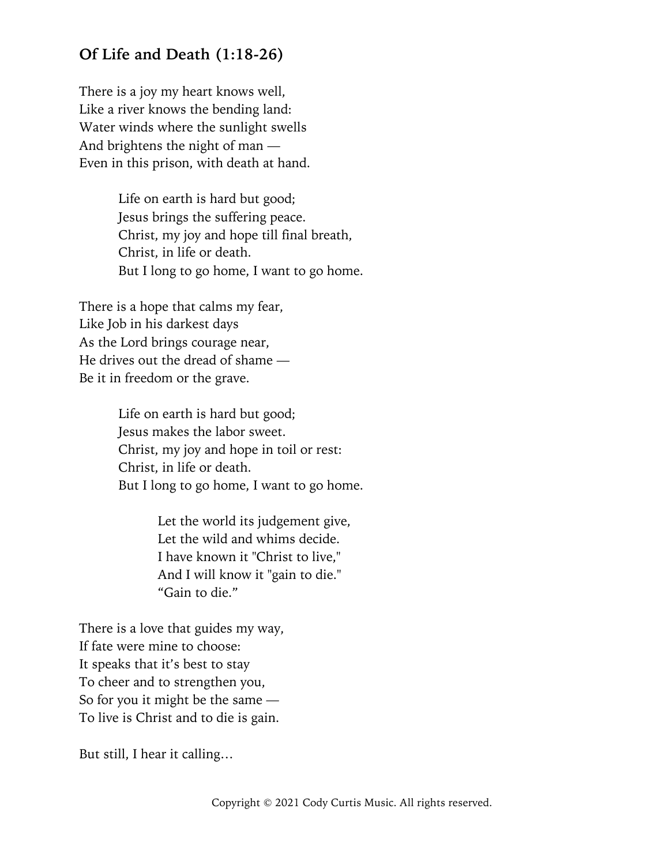#### **Of Life and Death (1:18-26)**

There is a joy my heart knows well, Like a river knows the bending land: Water winds where the sunlight swells And brightens the night of man — Even in this prison, with death at hand.

> Life on earth is hard but good; Jesus brings the suffering peace. Christ, my joy and hope till final breath, Christ, in life or death. But I long to go home, I want to go home.

There is a hope that calms my fear, Like Job in his darkest days As the Lord brings courage near, He drives out the dread of shame — Be it in freedom or the grave.

> Life on earth is hard but good; Jesus makes the labor sweet. Christ, my joy and hope in toil or rest: Christ, in life or death. But I long to go home, I want to go home.

> > Let the world its judgement give, Let the wild and whims decide. I have known it "Christ to live," And I will know it "gain to die." "Gain to die."

There is a love that guides my way, If fate were mine to choose: It speaks that it's best to stay To cheer and to strengthen you, So for you it might be the same — To live is Christ and to die is gain.

But still, I hear it calling…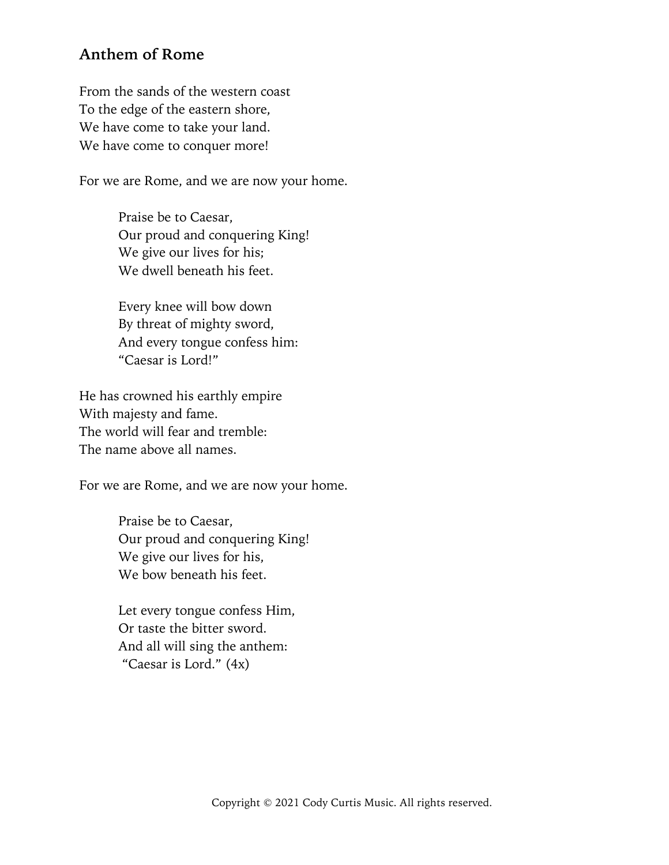#### **Anthem of Rome**

From the sands of the western coast To the edge of the eastern shore, We have come to take your land. We have come to conquer more!

For we are Rome, and we are now your home.

Praise be to Caesar, Our proud and conquering King! We give our lives for his; We dwell beneath his feet.

Every knee will bow down By threat of mighty sword, And every tongue confess him: "Caesar is Lord!"

He has crowned his earthly empire With majesty and fame. The world will fear and tremble: The name above all names.

For we are Rome, and we are now your home.

Praise be to Caesar, Our proud and conquering King! We give our lives for his, We bow beneath his feet.

Let every tongue confess Him, Or taste the bitter sword. And all will sing the anthem: "Caesar is Lord." (4x)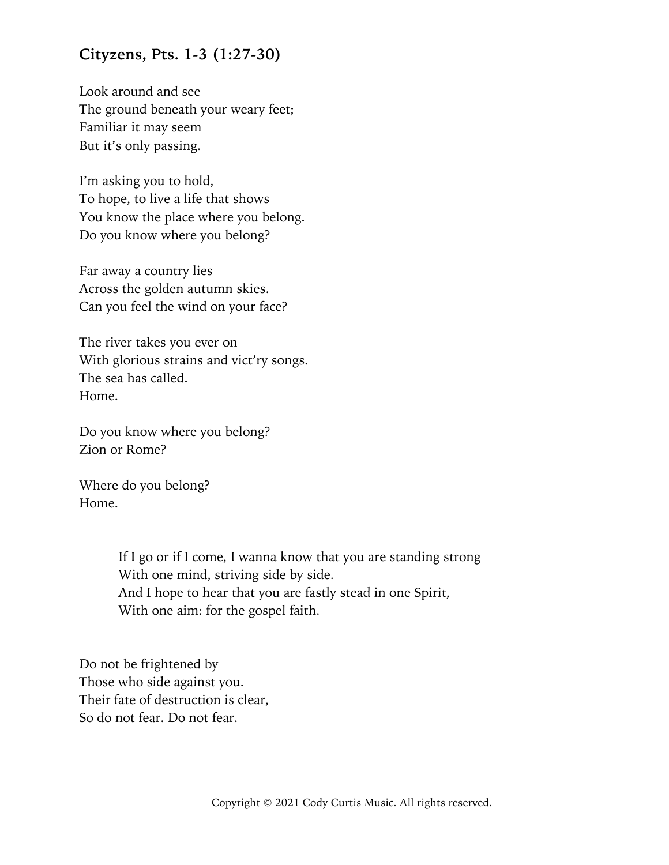#### **Cityzens, Pts. 1-3 (1:27-30)**

Look around and see The ground beneath your weary feet; Familiar it may seem But it's only passing.

I'm asking you to hold, To hope, to live a life that shows You know the place where you belong. Do you know where you belong?

Far away a country lies Across the golden autumn skies. Can you feel the wind on your face?

The river takes you ever on With glorious strains and vict'ry songs. The sea has called. Home.

Do you know where you belong? Zion or Rome?

Where do you belong? Home.

> If I go or if I come, I wanna know that you are standing strong With one mind, striving side by side. And I hope to hear that you are fastly stead in one Spirit, With one aim: for the gospel faith.

Do not be frightened by Those who side against you. Their fate of destruction is clear, So do not fear. Do not fear.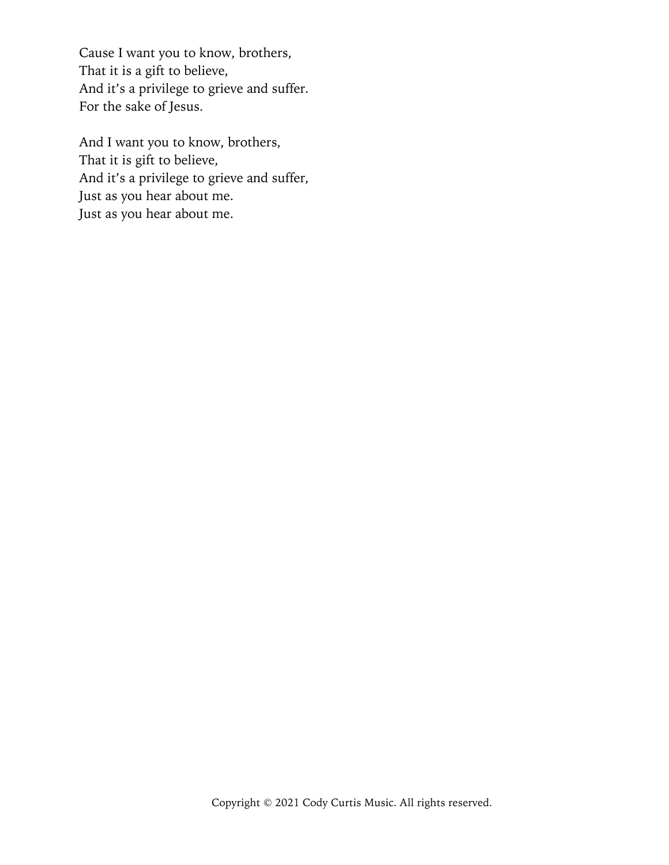Cause I want you to know, brothers, That it is a gift to believe, And it's a privilege to grieve and suffer. For the sake of Jesus.

And I want you to know, brothers, That it is gift to believe, And it's a privilege to grieve and suffer, Just as you hear about me. Just as you hear about me.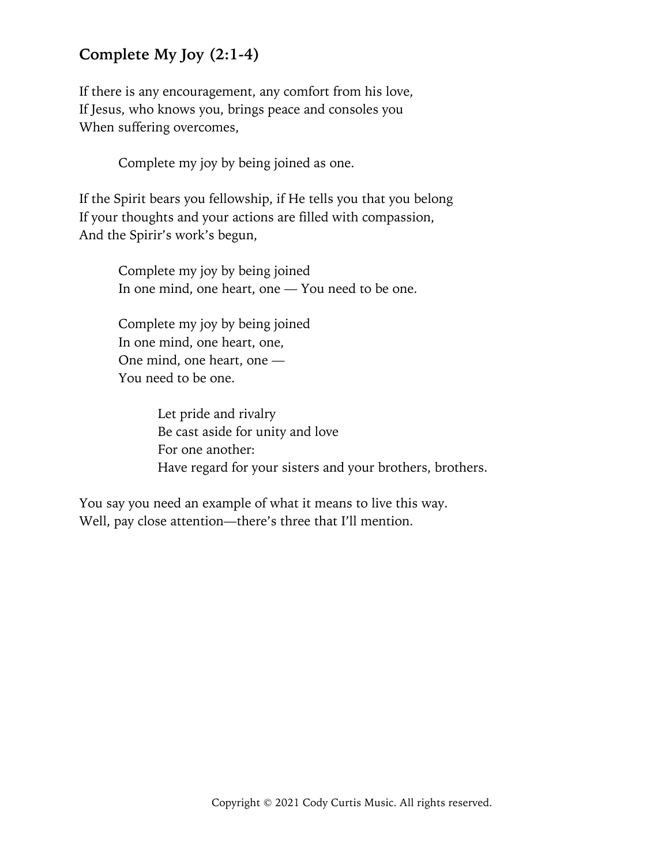# **Complete My Joy (2:1-4)**

If there is any encouragement, any comfort from his love, If Jesus, who knows you, brings peace and consoles you When suffering overcomes,

Complete my joy by being joined as one.

If the Spirit bears you fellowship, if He tells you that you belong If your thoughts and your actions are filled with compassion, And the Spirir's work's begun,

> Complete my joy by being joined In one mind, one heart, one — You need to be one.

Complete my joy by being joined In one mind, one heart, one, One mind, one heart, one — You need to be one.

> Let pride and rivalry Be cast aside for unity and love For one another: Have regard for your sisters and your brothers, brothers.

You say you need an example of what it means to live this way. Well, pay close attention—there's three that I'll mention.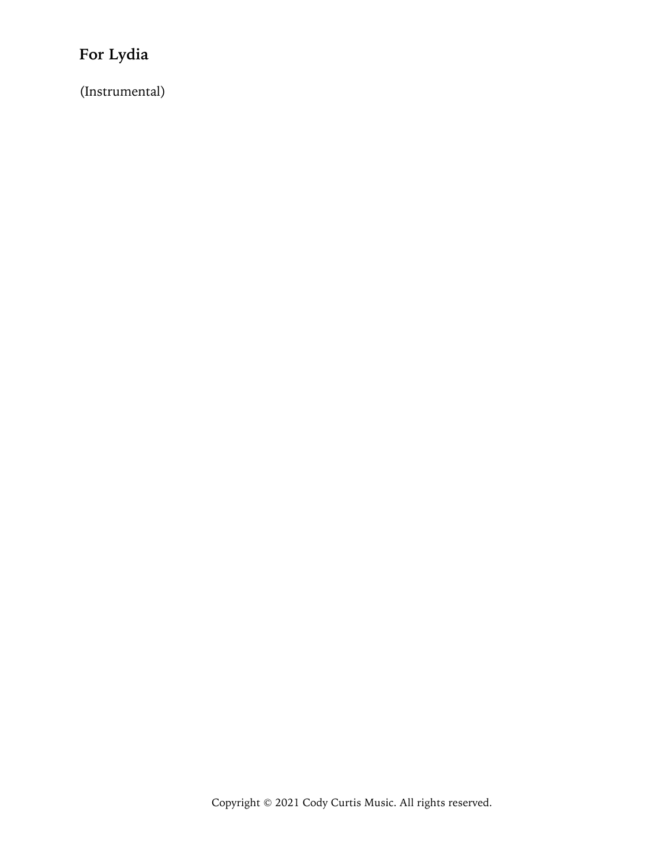# **For Lydia**

(Instrumental)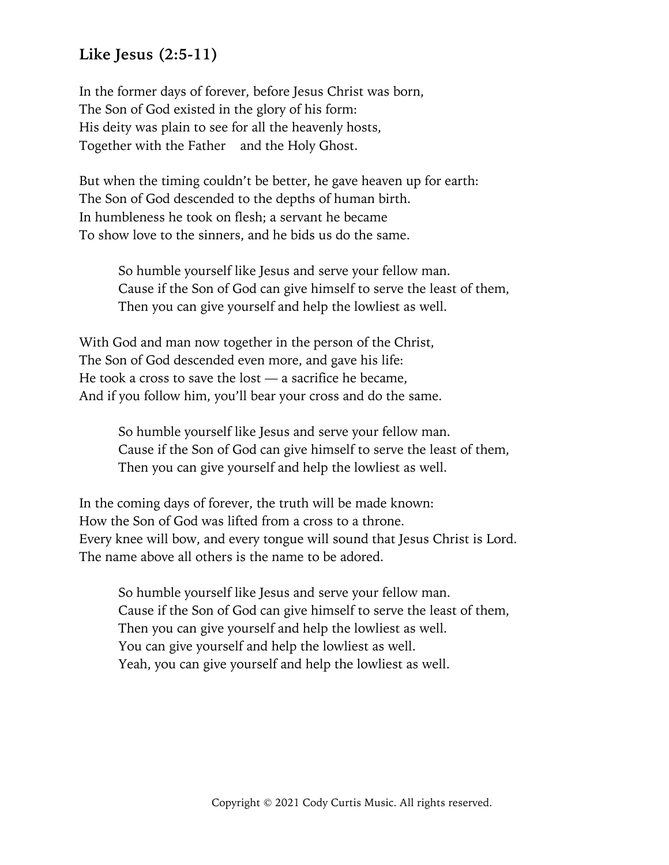#### **Like Jesus (2:5-11)**

In the former days of forever, before Jesus Christ was born, The Son of God existed in the glory of his form: His deity was plain to see for all the heavenly hosts, Together with the Father and the Holy Ghost.

But when the timing couldn't be better, he gave heaven up for earth: The Son of God descended to the depths of human birth. In humbleness he took on flesh; a servant he became To show love to the sinners, and he bids us do the same.

So humble yourself like Jesus and serve your fellow man. Cause if the Son of God can give himself to serve the least of them, Then you can give yourself and help the lowliest as well.

With God and man now together in the person of the Christ, The Son of God descended even more, and gave his life: He took a cross to save the lost — a sacrifice he became, And if you follow him, you'll bear your cross and do the same.

> So humble yourself like Jesus and serve your fellow man. Cause if the Son of God can give himself to serve the least of them, Then you can give yourself and help the lowliest as well.

In the coming days of forever, the truth will be made known: How the Son of God was lifted from a cross to a throne. Every knee will bow, and every tongue will sound that Jesus Christ is Lord. The name above all others is the name to be adored.

So humble yourself like Jesus and serve your fellow man. Cause if the Son of God can give himself to serve the least of them, Then you can give yourself and help the lowliest as well. You can give yourself and help the lowliest as well. Yeah, you can give yourself and help the lowliest as well.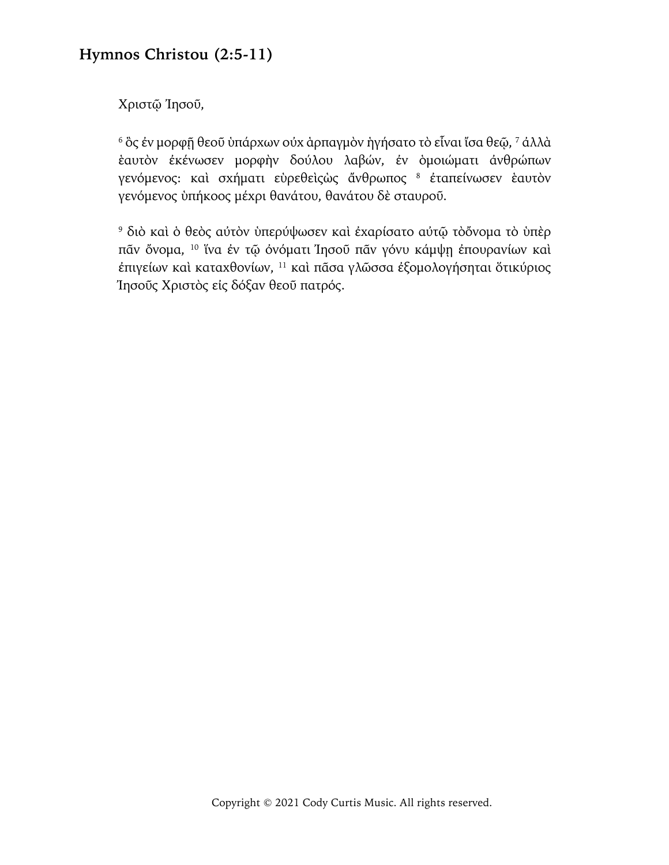### **Hymnos Christou (2:5-11)**

Χριστῷ Ἰησοῦ,

<sup>6</sup> ὃς ἐν μορφῇ θεοῦ ὑπάρχων οὐχ ἁρπαγμὸν ἡγήσατο τὸ εἶναι ἴσα θεῷ, 7 ἀλλὰ ἑαυτὸν ἐκένωσεν μορφὴν δούλου λαβών, ἐν ὁμοιώματι ἀνθρώπων γενόμενος: καὶ σχήματι εὑρεθεὶςὼς ἄνθρωπος <sup>8</sup> έταπείνωσεν ἑαυτὸν γενόμενος ὑπήκοος μέχρι θανάτου, θανάτου δὲ σταυροῦ.

<sup>9</sup> διὸ καὶ ὁ θεὸς αὐτὸν ὑπερύψωσεν καὶ ἐχαρίσατο αὐτῷ τὸὄνομα τὸ ὑπὲρ πᾶν ὄνομα, 10 ἵνα ἐν τῷ ὀνόματι Ἰησοῦ πᾶν γόνυ κάμψῃ ἐπουρανίων καὶ ἐπιγείων καὶ καταχθονίων, 11 καὶ πᾶσα γλῶσσα ἐξομολογήσηται ὅτικύριος Ἰησοῦς Χριστὸς εἰς δόξαν θεοῦ πατρός.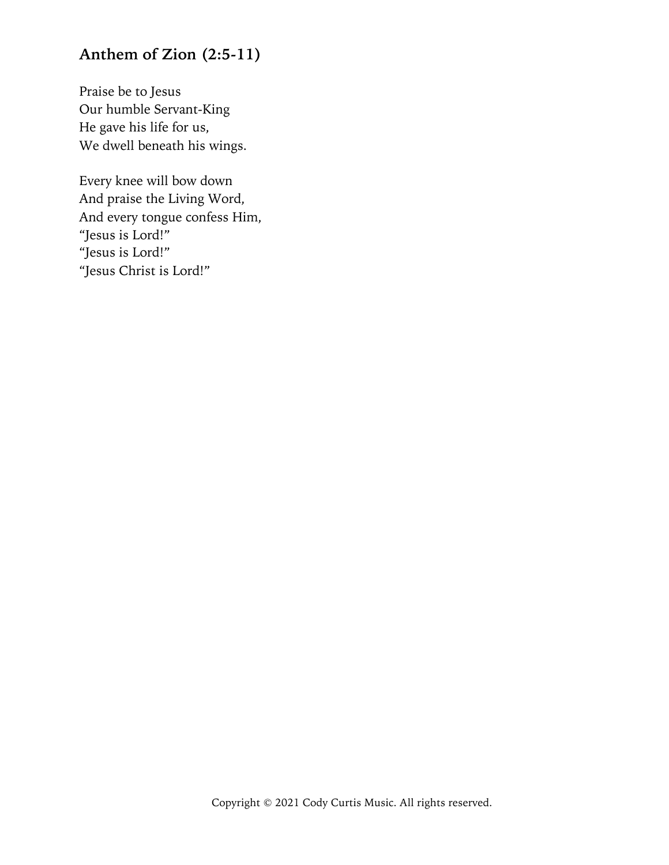# **Anthem of Zion (2:5-11)**

Praise be to Jesus Our humble Servant-King He gave his life for us, We dwell beneath his wings.

Every knee will bow down And praise the Living Word, And every tongue confess Him, "Jesus is Lord!" "Jesus is Lord!" "Jesus Christ is Lord!"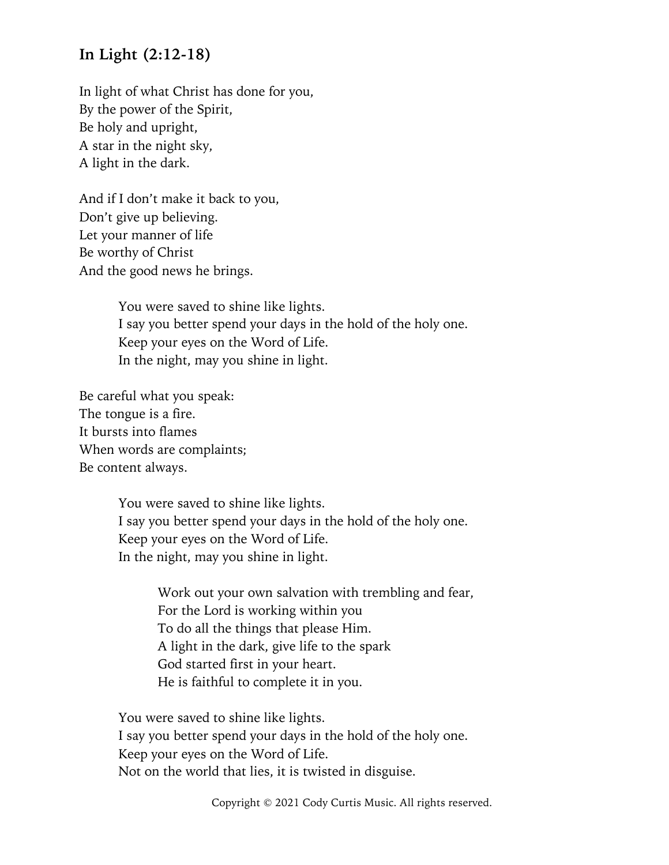#### **In Light (2:12-18)**

In light of what Christ has done for you, By the power of the Spirit, Be holy and upright, A star in the night sky, A light in the dark.

And if I don't make it back to you, Don't give up believing. Let your manner of life Be worthy of Christ And the good news he brings.

> You were saved to shine like lights. I say you better spend your days in the hold of the holy one. Keep your eyes on the Word of Life. In the night, may you shine in light.

Be careful what you speak: The tongue is a fire. It bursts into flames When words are complaints; Be content always.

> You were saved to shine like lights. I say you better spend your days in the hold of the holy one. Keep your eyes on the Word of Life. In the night, may you shine in light.

> > Work out your own salvation with trembling and fear, For the Lord is working within you To do all the things that please Him. A light in the dark, give life to the spark God started first in your heart. He is faithful to complete it in you.

You were saved to shine like lights. I say you better spend your days in the hold of the holy one. Keep your eyes on the Word of Life. Not on the world that lies, it is twisted in disguise.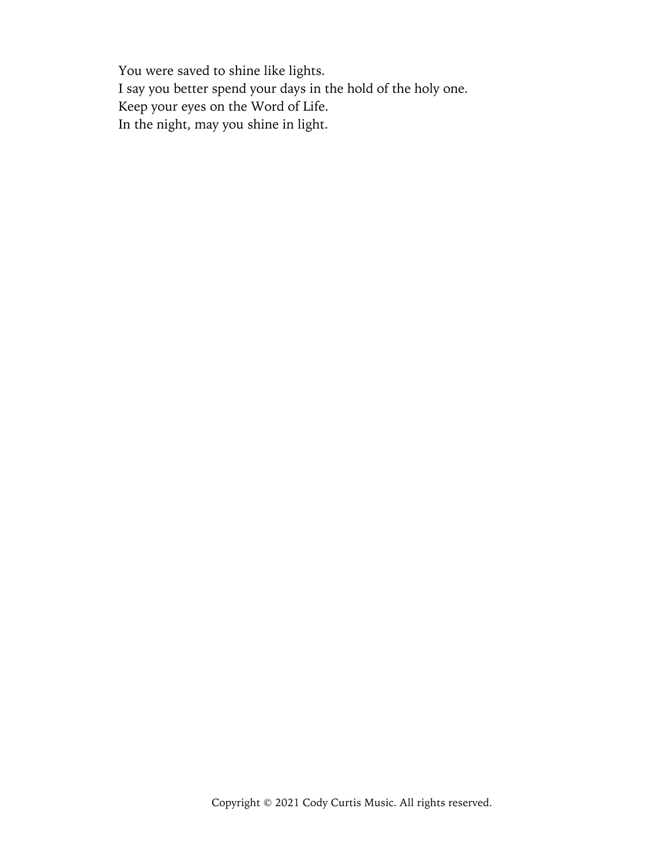You were saved to shine like lights. I say you better spend your days in the hold of the holy one. Keep your eyes on the Word of Life. In the night, may you shine in light.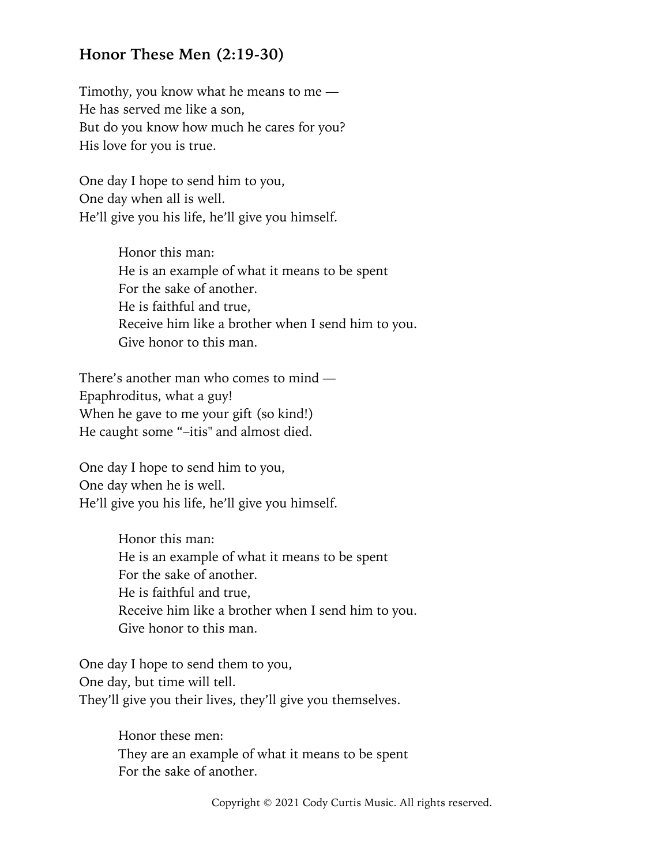#### **Honor These Men (2:19-30)**

Timothy, you know what he means to me — He has served me like a son, But do you know how much he cares for you? His love for you is true.

One day I hope to send him to you, One day when all is well. He'll give you his life, he'll give you himself.

> Honor this man: He is an example of what it means to be spent For the sake of another. He is faithful and true, Receive him like a brother when I send him to you. Give honor to this man.

There's another man who comes to mind — Epaphroditus, what a guy! When he gave to me your gift (so kind!) He caught some "–itis" and almost died.

One day I hope to send him to you, One day when he is well. He'll give you his life, he'll give you himself.

> Honor this man: He is an example of what it means to be spent For the sake of another. He is faithful and true, Receive him like a brother when I send him to you. Give honor to this man.

One day I hope to send them to you, One day, but time will tell. They'll give you their lives, they'll give you themselves.

> Honor these men: They are an example of what it means to be spent For the sake of another.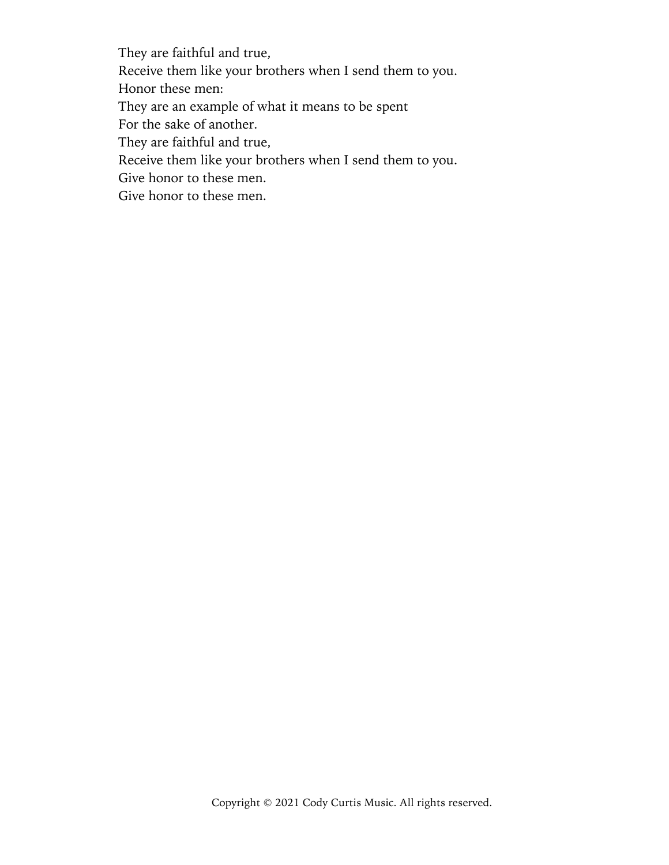They are faithful and true, Receive them like your brothers when I send them to you. Honor these men: They are an example of what it means to be spent For the sake of another. They are faithful and true, Receive them like your brothers when I send them to you. Give honor to these men. Give honor to these men.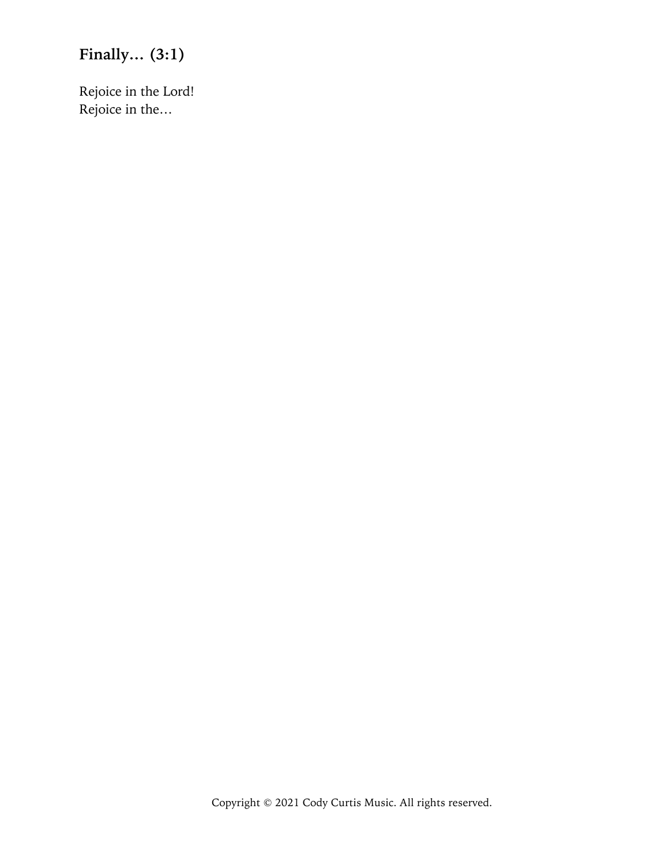# **Finally… (3:1)**

Rejoice in the Lord! Rejoice in the…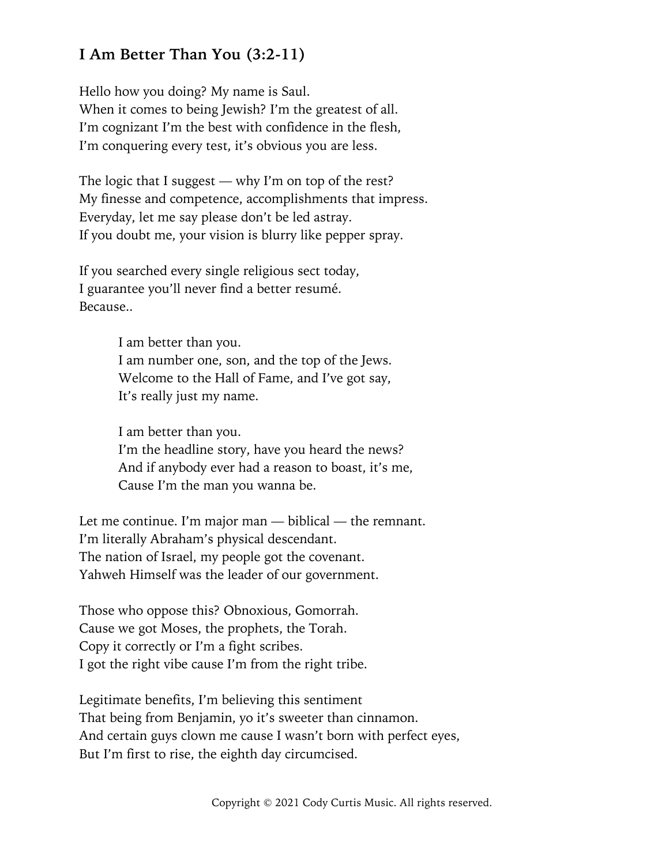## **I Am Better Than You (3:2-11)**

Hello how you doing? My name is Saul. When it comes to being Jewish? I'm the greatest of all. I'm cognizant I'm the best with confidence in the flesh, I'm conquering every test, it's obvious you are less.

The logic that I suggest — why I'm on top of the rest? My finesse and competence, accomplishments that impress. Everyday, let me say please don't be led astray. If you doubt me, your vision is blurry like pepper spray.

If you searched every single religious sect today, I guarantee you'll never find a better resumé. Because..

> I am better than you. I am number one, son, and the top of the Jews. Welcome to the Hall of Fame, and I've got say, It's really just my name.

I am better than you. I'm the headline story, have you heard the news? And if anybody ever had a reason to boast, it's me, Cause I'm the man you wanna be.

Let me continue. I'm major man — biblical — the remnant. I'm literally Abraham's physical descendant. The nation of Israel, my people got the covenant. Yahweh Himself was the leader of our government.

Those who oppose this? Obnoxious, Gomorrah. Cause we got Moses, the prophets, the Torah. Copy it correctly or I'm a fight scribes. I got the right vibe cause I'm from the right tribe.

Legitimate benefits, I'm believing this sentiment That being from Benjamin, yo it's sweeter than cinnamon. And certain guys clown me cause I wasn't born with perfect eyes, But I'm first to rise, the eighth day circumcised.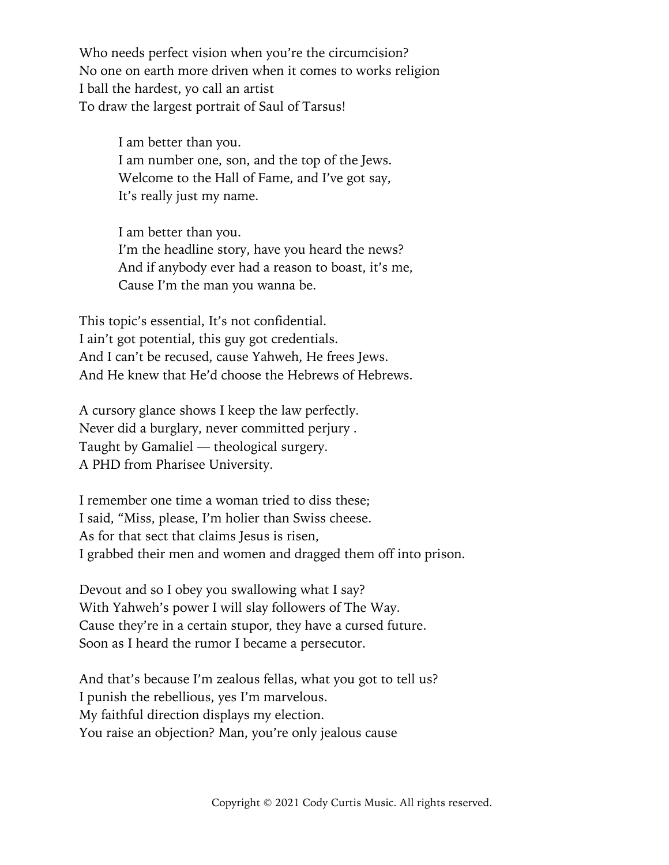Who needs perfect vision when you're the circumcision? No one on earth more driven when it comes to works religion I ball the hardest, yo call an artist To draw the largest portrait of Saul of Tarsus!

> I am better than you. I am number one, son, and the top of the Jews. Welcome to the Hall of Fame, and I've got say, It's really just my name.

I am better than you. I'm the headline story, have you heard the news? And if anybody ever had a reason to boast, it's me, Cause I'm the man you wanna be.

This topic's essential, It's not confidential. I ain't got potential, this guy got credentials. And I can't be recused, cause Yahweh, He frees Jews. And He knew that He'd choose the Hebrews of Hebrews.

A cursory glance shows I keep the law perfectly. Never did a burglary, never committed perjury . Taught by Gamaliel — theological surgery. A PHD from Pharisee University.

I remember one time a woman tried to diss these; I said, "Miss, please, I'm holier than Swiss cheese. As for that sect that claims Jesus is risen. I grabbed their men and women and dragged them off into prison.

Devout and so I obey you swallowing what I say? With Yahweh's power I will slay followers of The Way. Cause they're in a certain stupor, they have a cursed future. Soon as I heard the rumor I became a persecutor.

And that's because I'm zealous fellas, what you got to tell us? I punish the rebellious, yes I'm marvelous. My faithful direction displays my election. You raise an objection? Man, you're only jealous cause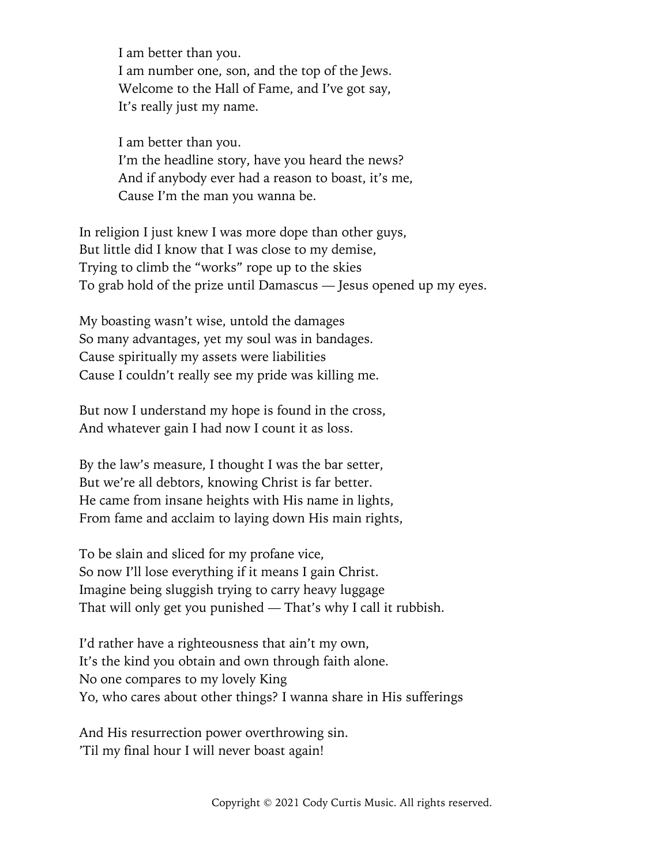I am better than you. I am number one, son, and the top of the Jews. Welcome to the Hall of Fame, and I've got say, It's really just my name.

I am better than you. I'm the headline story, have you heard the news? And if anybody ever had a reason to boast, it's me, Cause I'm the man you wanna be.

In religion I just knew I was more dope than other guys, But little did I know that I was close to my demise, Trying to climb the "works" rope up to the skies To grab hold of the prize until Damascus — Jesus opened up my eyes.

My boasting wasn't wise, untold the damages So many advantages, yet my soul was in bandages. Cause spiritually my assets were liabilities Cause I couldn't really see my pride was killing me.

But now I understand my hope is found in the cross, And whatever gain I had now I count it as loss.

By the law's measure, I thought I was the bar setter, But we're all debtors, knowing Christ is far better. He came from insane heights with His name in lights, From fame and acclaim to laying down His main rights,

To be slain and sliced for my profane vice, So now I'll lose everything if it means I gain Christ. Imagine being sluggish trying to carry heavy luggage That will only get you punished — That's why I call it rubbish.

I'd rather have a righteousness that ain't my own, It's the kind you obtain and own through faith alone. No one compares to my lovely King Yo, who cares about other things? I wanna share in His sufferings

And His resurrection power overthrowing sin. 'Til my final hour I will never boast again!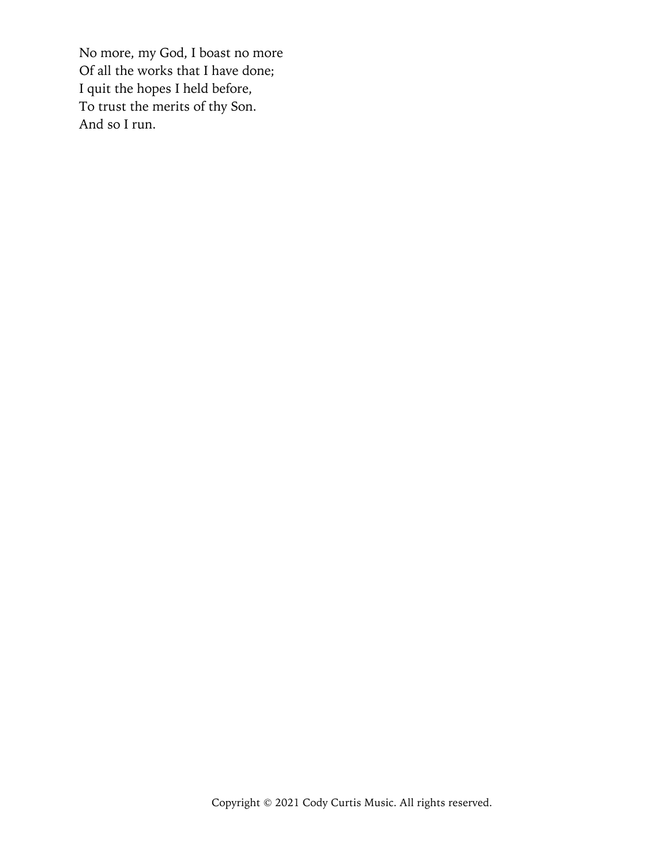No more, my God, I boast no more Of all the works that I have done; I quit the hopes I held before, To trust the merits of thy Son. And so I run.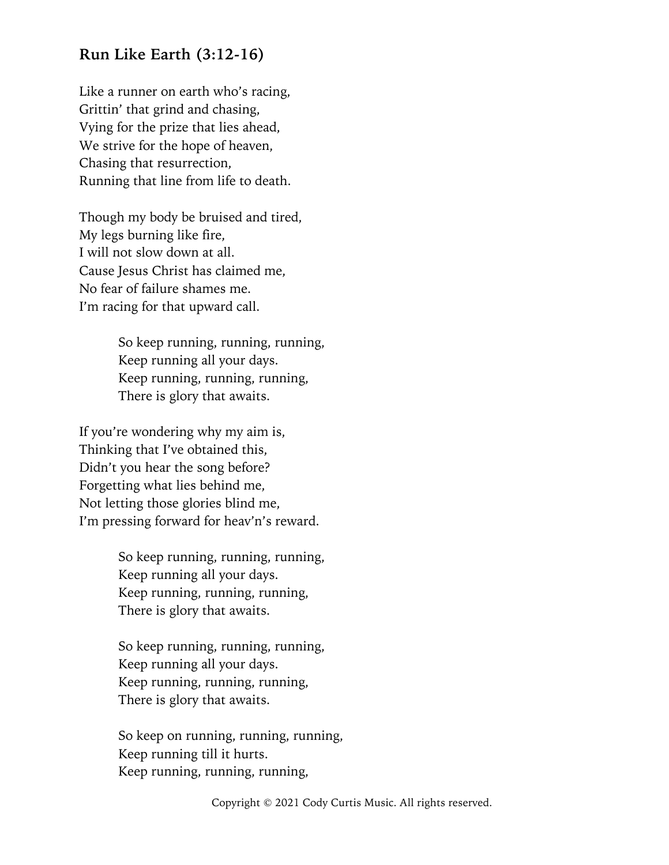#### **Run Like Earth (3:12-16)**

Like a runner on earth who's racing, Grittin' that grind and chasing, Vying for the prize that lies ahead, We strive for the hope of heaven, Chasing that resurrection, Running that line from life to death.

Though my body be bruised and tired, My legs burning like fire, I will not slow down at all. Cause Jesus Christ has claimed me, No fear of failure shames me. I'm racing for that upward call.

> So keep running, running, running, Keep running all your days. Keep running, running, running, There is glory that awaits.

If you're wondering why my aim is, Thinking that I've obtained this, Didn't you hear the song before? Forgetting what lies behind me, Not letting those glories blind me, I'm pressing forward for heav'n's reward.

> So keep running, running, running, Keep running all your days. Keep running, running, running, There is glory that awaits.

> So keep running, running, running, Keep running all your days. Keep running, running, running, There is glory that awaits.

So keep on running, running, running, Keep running till it hurts. Keep running, running, running,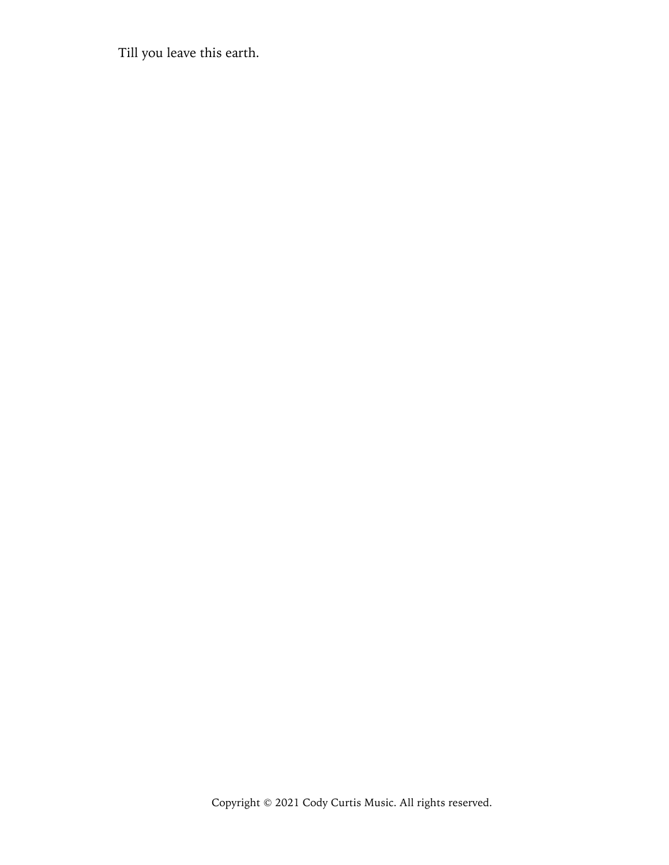Till you leave this earth.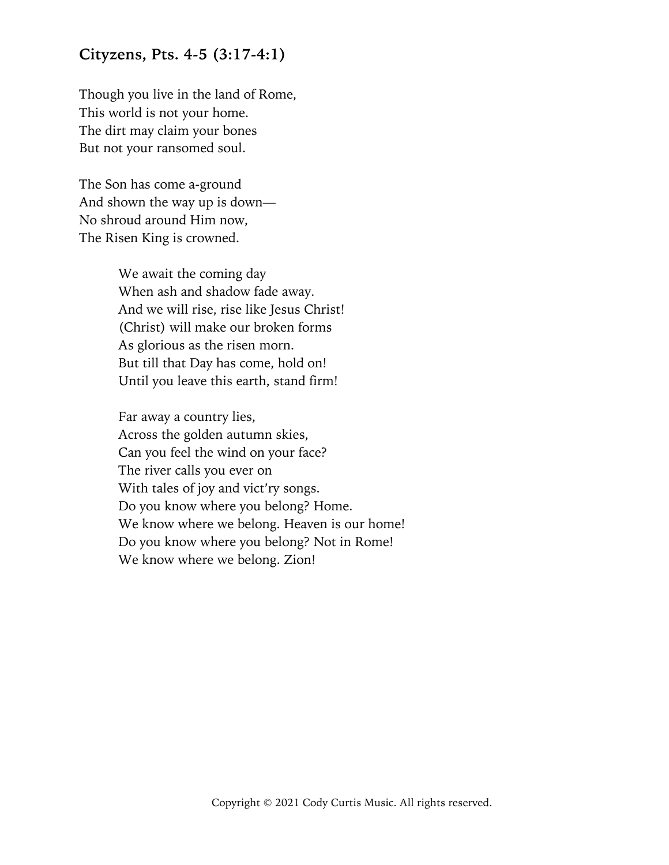#### **Cityzens, Pts. 4-5 (3:17-4:1)**

Though you live in the land of Rome, This world is not your home. The dirt may claim your bones But not your ransomed soul.

The Son has come a-ground And shown the way up is down— No shroud around Him now, The Risen King is crowned.

> We await the coming day When ash and shadow fade away. And we will rise, rise like Jesus Christ! (Christ) will make our broken forms As glorious as the risen morn. But till that Day has come, hold on! Until you leave this earth, stand firm!

Far away a country lies, Across the golden autumn skies, Can you feel the wind on your face? The river calls you ever on With tales of joy and vict'ry songs. Do you know where you belong? Home. We know where we belong. Heaven is our home! Do you know where you belong? Not in Rome! We know where we belong. Zion!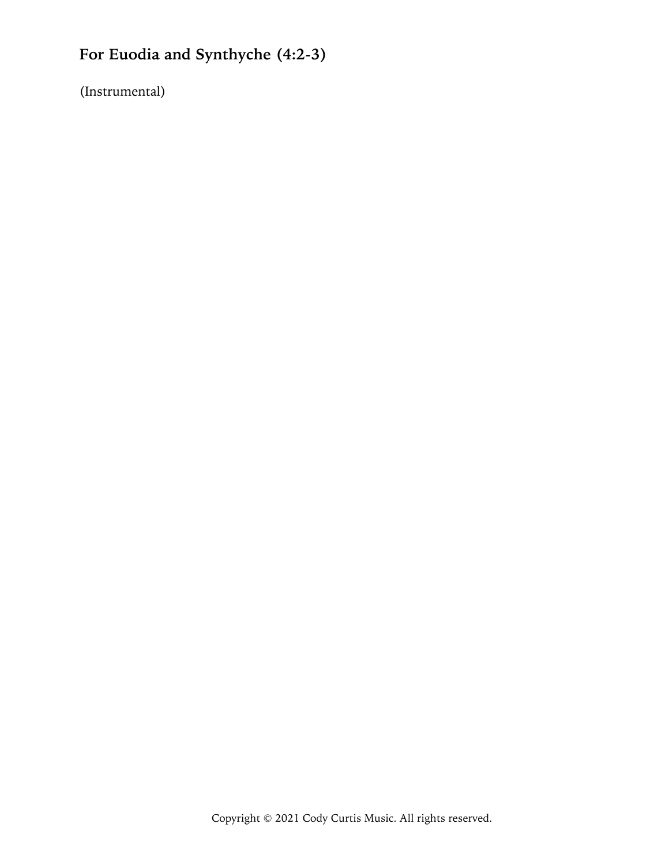# **For Euodia and Synthyche (4:2-3)**

(Instrumental)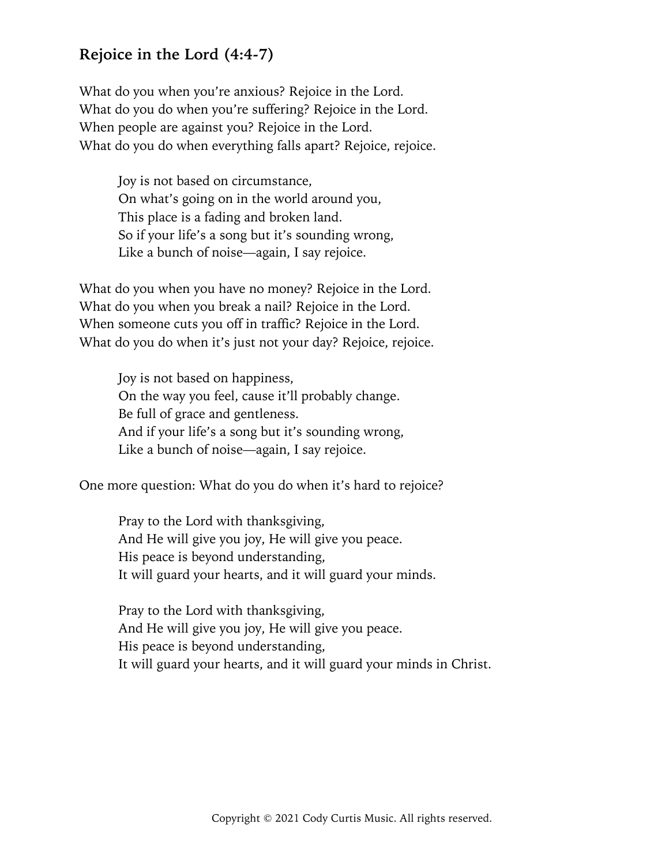#### **Rejoice in the Lord (4:4-7)**

What do you when you're anxious? Rejoice in the Lord. What do you do when you're suffering? Rejoice in the Lord. When people are against you? Rejoice in the Lord. What do you do when everything falls apart? Rejoice, rejoice.

> Joy is not based on circumstance, On what's going on in the world around you, This place is a fading and broken land. So if your life's a song but it's sounding wrong, Like a bunch of noise—again, I say rejoice.

What do you when you have no money? Rejoice in the Lord. What do you when you break a nail? Rejoice in the Lord. When someone cuts you off in traffic? Rejoice in the Lord. What do you do when it's just not your day? Rejoice, rejoice.

> Joy is not based on happiness, On the way you feel, cause it'll probably change. Be full of grace and gentleness. And if your life's a song but it's sounding wrong, Like a bunch of noise—again, I say rejoice.

One more question: What do you do when it's hard to rejoice?

Pray to the Lord with thanksgiving, And He will give you joy, He will give you peace. His peace is beyond understanding, It will guard your hearts, and it will guard your minds.

Pray to the Lord with thanksgiving, And He will give you joy, He will give you peace. His peace is beyond understanding, It will guard your hearts, and it will guard your minds in Christ.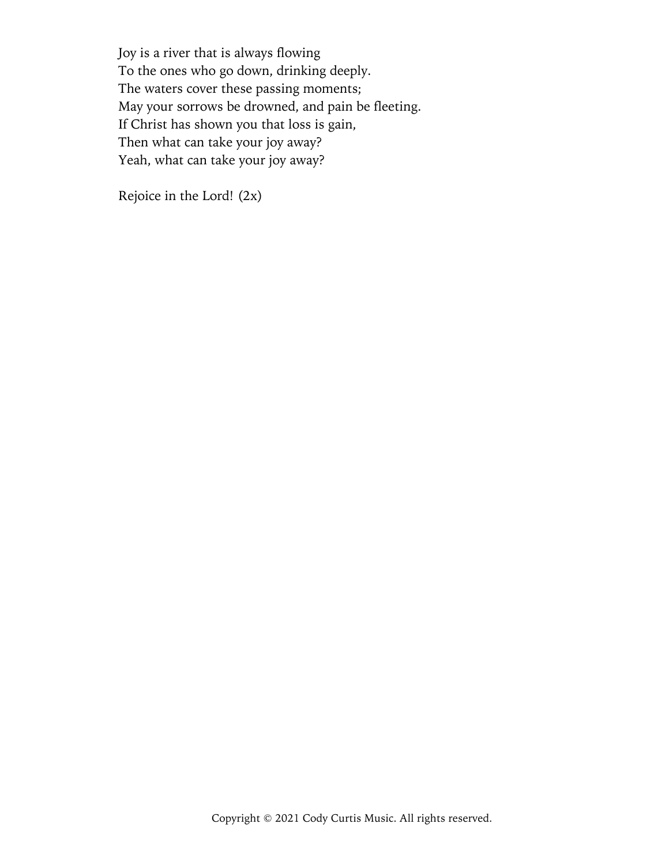Joy is a river that is always flowing To the ones who go down, drinking deeply. The waters cover these passing moments; May your sorrows be drowned, and pain be fleeting. If Christ has shown you that loss is gain, Then what can take your joy away? Yeah, what can take your joy away?

Rejoice in the Lord! (2x)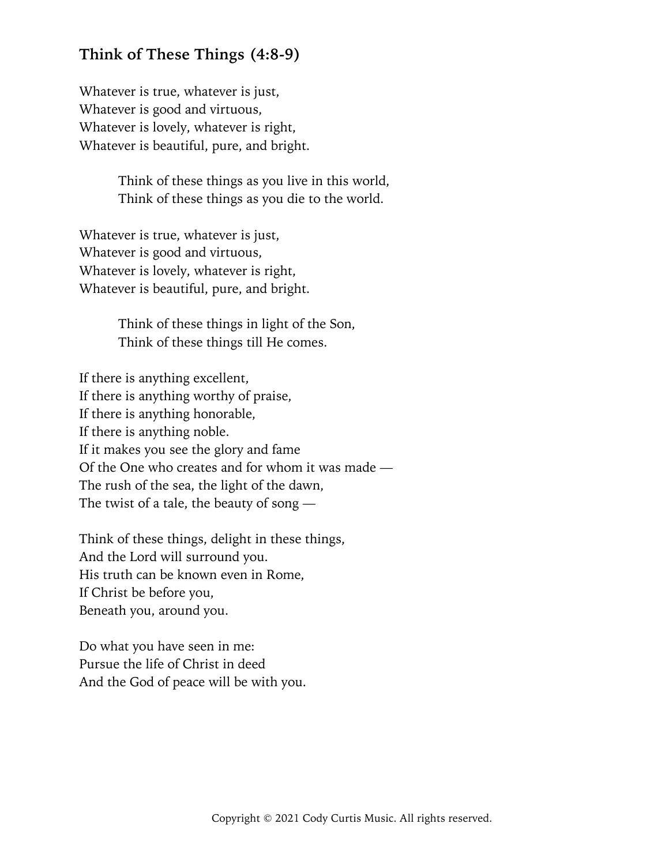#### **Think of These Things (4:8-9)**

Whatever is true, whatever is just, Whatever is good and virtuous, Whatever is lovely, whatever is right, Whatever is beautiful, pure, and bright.

> Think of these things as you live in this world, Think of these things as you die to the world.

Whatever is true, whatever is just, Whatever is good and virtuous, Whatever is lovely, whatever is right, Whatever is beautiful, pure, and bright.

> Think of these things in light of the Son, Think of these things till He comes.

If there is anything excellent, If there is anything worthy of praise, If there is anything honorable, If there is anything noble. If it makes you see the glory and fame Of the One who creates and for whom it was made — The rush of the sea, the light of the dawn, The twist of a tale, the beauty of song —

Think of these things, delight in these things, And the Lord will surround you. His truth can be known even in Rome, If Christ be before you, Beneath you, around you.

Do what you have seen in me: Pursue the life of Christ in deed And the God of peace will be with you.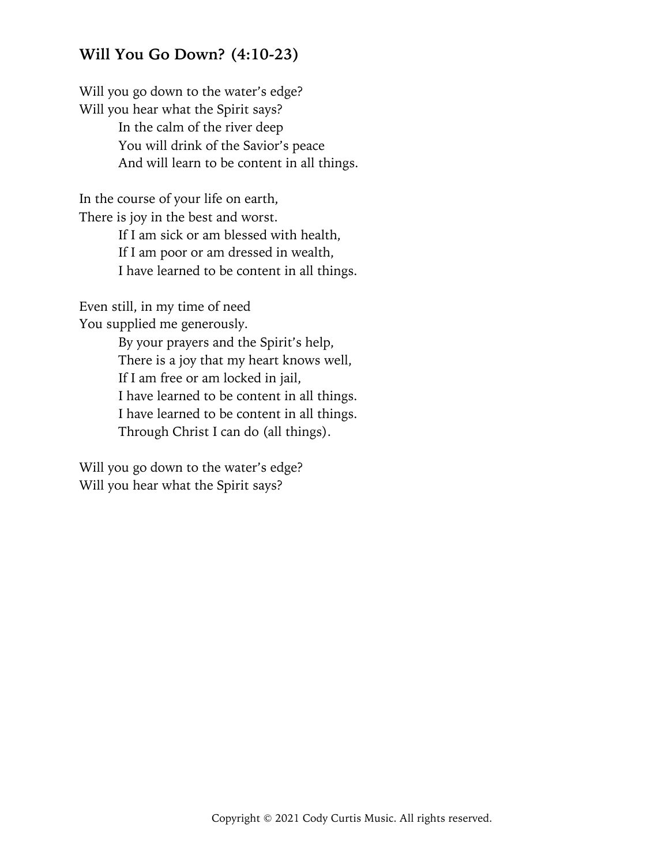#### **Will You Go Down? (4:10-23)**

Will you go down to the water's edge? Will you hear what the Spirit says? In the calm of the river deep You will drink of the Savior's peace And will learn to be content in all things.

In the course of your life on earth, There is joy in the best and worst.

> If I am sick or am blessed with health, If I am poor or am dressed in wealth, I have learned to be content in all things.

Even still, in my time of need

You supplied me generously.

By your prayers and the Spirit's help, There is a joy that my heart knows well, If I am free or am locked in jail, I have learned to be content in all things. I have learned to be content in all things. Through Christ I can do (all things).

Will you go down to the water's edge? Will you hear what the Spirit says?